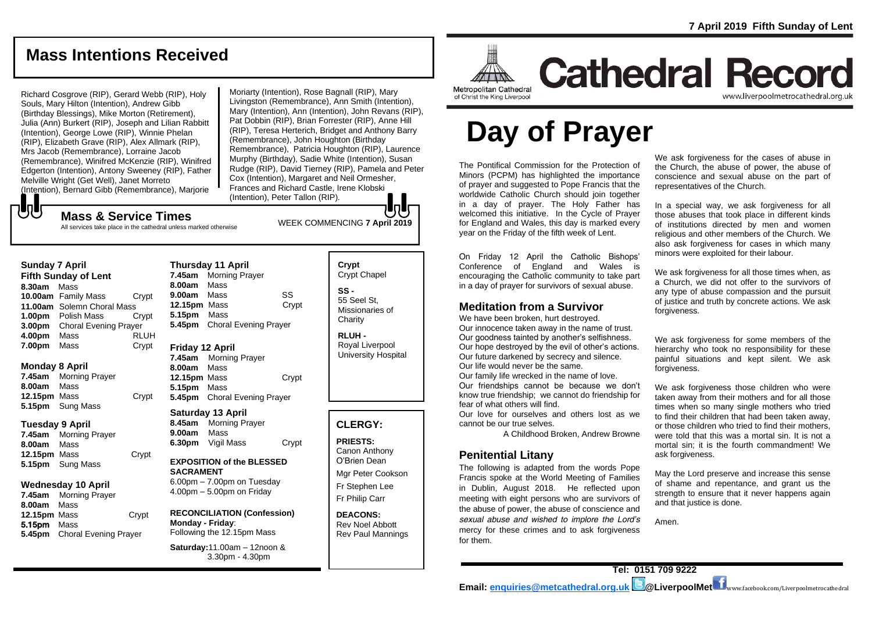# **Mass Intentions Received**

Richard Cosgrove (RIP), Gerard Webb (RIP), Holy Souls, Mary Hilton (Intention), Andrew Gibb (Birthday Blessings), Mike Morton (Retirement), Julia (Ann) Burkert (RIP), Joseph and Lilian Rabbitt (Intention), George Lowe (RIP), Winnie Phelan (RIP), Elizabeth Grave (RIP), Alex Allmark (RIP), Mrs Jacob (Remembrance), Lorraine Jacob (Remembrance), Winifred McKenzie (RIP), Winifred Edgerton (Intention), Antony Sweeney (RIP), Father Melville Wright (Get Well), Janet Morreto (Intention), Bernard Gibb (Remembrance), Marjorie

Moriarty (Intention), Rose Bagnall (RIP), Mary Livingston (Remembrance), Ann Smith (Intention), Mary (Intention), Ann (Intention), John Revans (RIP), Pat Dobbin (RIP), Brian Forrester (RIP), Anne Hill (RIP), Teresa Herterich, Bridget and Anthony Barry (Remembrance), John Houghton (Birthday Remembrance), Patricia Houghton (RIP), Laurence Murphy (Birthday), Sadie White (Intention), Susan Rudge (RIP), David Tierney (RIP), Pamela and Peter Cox (Intention), Margaret and Neil Ormesher, Frances and Richard Castle, Irene Klobski (Intention), Peter Tallon (RIP).

# WEEK COMMENCING **7 April <sup>2019</sup> Mass & Service Times**

All services take place in the cathedral unless marked otherwise

### **Sunday 7 April**

**Fifth Sunday of Lent 8.30am** Mass **10.00am** Family Mass Crypt **11.00am** Solemn Choral Mass **1.00pm** Polish Mass Crypt **3.00pm** Choral Evening Prayer **4.00pm** Mass RLUH **7.00pm** Mass Crypt

### **Monday 8 April**

**7.45am** Morning Prayer **8.00am** Mass **12.15pm** Mass Crypt **5.15pm** Sung Mass

### **Tuesday 9 April**

**7.45am** Morning Prayer **8.00am** Mass **12.15pm** Mass Crypt **5.15pm** Sung Mass

### **Wednesday 10 April**

**7.45am** Morning Prayer **8.00am** Mass **12.15pm** Mass Crypt 5.15pm Mass **5.45pm** Choral Evening Prayer

**Thursday 11 April 7.45am** Morning Prayer **8.00am** Mass **9.00am** Mass SS **12.15pm** Mass Crypt **5.15pm** Mass **5.45pm** Choral Evening Prayer

### **Friday 12 April**

**7.45am** Morning Prayer **8.00am** Mass **12.15pm** Mass Crypt **5.15pm** Mass **5.45pm** Choral Evening Prayer

### **Saturday 13 April**

**8.45am** Morning Prayer **9.00am** Mass **6.30pm** Vigil Mass Crypt

### **EXPOSITION of the BLESSED SACRAMENT**

6.00pm – 7.00pm on Tuesday 4.00pm – 5.00pm on Friday

### **RECONCILIATION (Confession) Monday - Friday**: Following the 12.15pm Mass

**Saturday:**11.00am – 12noon & 3.30pm - 4.30pm

### **Crypt**  Crypt Chapel **SS -** 55 Seel St, Missionaries of

**Charity** 

**RLUH -** Royal Liverpool University Hospital

### **CLERGY:**

**PRIESTS:** Canon Anthony O'Brien *Dean*

Mgr Peter Cookson Fr Stephen Lee Fr Philip Carr

**DEACONS:** Rev Noel Abbott Rev Paul Mannings



# **Cathedral Record** www.liverpoolmetrocathedral.org.ul

of Christ the King Liverpool

# **Day of Prayer**

The Pontifical Commission for the Protection of Minors (PCPM) has highlighted the importance of prayer and suggested to Pope Francis that the worldwide Catholic Church should join together in a day of prayer. The Holy Father has welcomed this initiative. In the Cycle of Prayer for England and Wales, this day is marked every year on the Friday of the fifth week of Lent.

On Friday 12 April the Catholic Bishops' Conference of England and Wales is encouraging the Catholic community to take part in a day of prayer for survivors of sexual abuse.

### **Meditation from a Survivor**

We have been broken, hurt destroyed. Our innocence taken away in the name of trust. Our goodness tainted by another's selfishness. Our hope destroyed by the evil of other's actions.

Our future darkened by secrecy and silence. Our life would never be the same.

Our family life wrecked in the name of love. Our friendships cannot be because we don't

know true friendship; we cannot do friendship for fear of what others will find. Our love for ourselves and others lost as we

cannot be our true selves.

*A Childhood Broken*, Andrew Browne

### **Penitential Litany**

*The following is adapted from the words Pope Francis spoke at the World Meeting of Families in Dublin, August 2018. He reflected upon meeting with eight persons who are survivors of the abuse of power, the abuse of conscience and sexual abuse and wished to implore the Lord's mercy for these crimes and to ask forgiveness for them.*

We ask forgiveness for the cases of abuse in the Church, the abuse of power, the abuse of conscience and sexual abuse on the part of representatives of the Church.

In a special way, we ask forgiveness for all those abuses that took place in different kinds of institutions directed by men and women religious and other members of the Church. We also ask forgiveness for cases in which many minors were exploited for their labour.

We ask forgiveness for all those times when, as a Church, we did not offer to the survivors of any type of abuse compassion and the pursuit of justice and truth by concrete actions. We ask forgiveness.

We ask forgiveness for some members of the hierarchy who took no responsibility for these painful situations and kept silent. We ask forgiveness.

We ask forgiveness those children who were taken away from their mothers and for all those times when so many single mothers who tried to find their children that had been taken away, or those children who tried to find their mothers, were told that this was a mortal sin. It is not a mortal sin; it is the fourth commandment! We ask forgiveness.

May the Lord preserve and increase this sense of shame and repentance, and grant us the strength to ensure that it never happens again and that justice is done.

Amen.

# もし